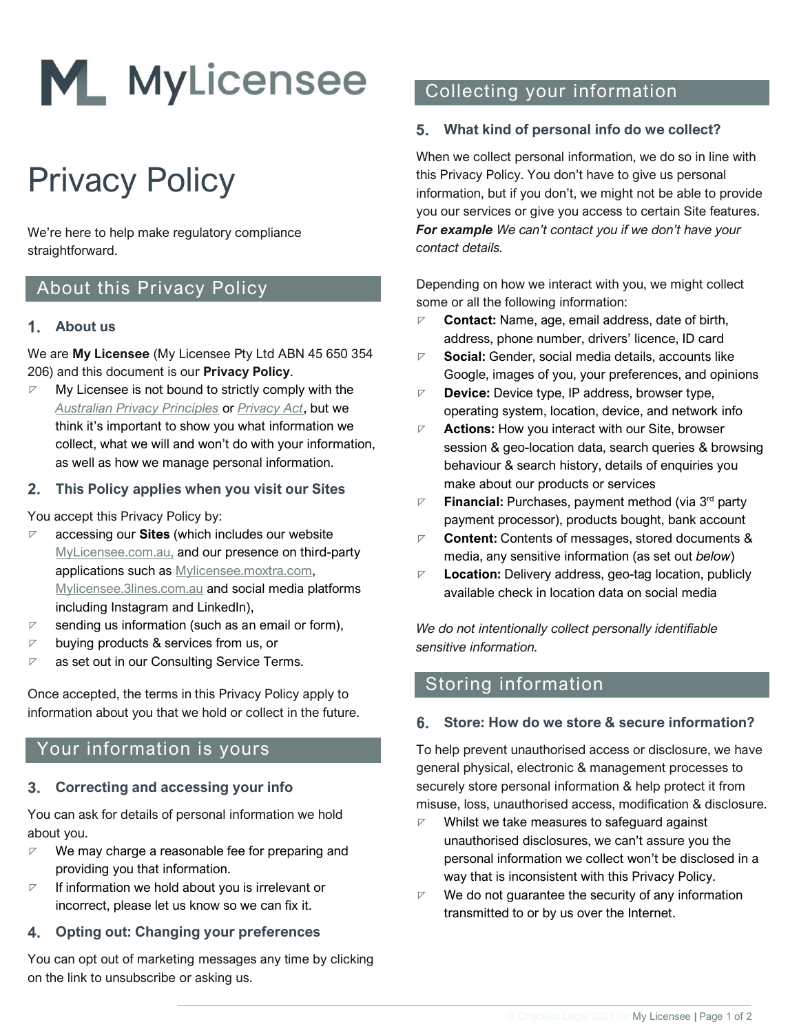

# Privacy Policy

We're here to help make regulatory compliance straightforward.

### About this Privacy Policy

### **About us**

We are **My Licensee** (My Licensee Pty Ltd ABN 45 650 354 206) and this document is our **Privacy Policy**.

 $\nabla$  My Licensee is not bound to strictly comply with the *[Australian Privacy Principles](https://www.oaic.gov.au/privacy/australian-privacy-principles-guidelines/chapter-b-key-concepts/)* or *[Privacy Act](https://www.oaic.gov.au/privacy/the-privacy-act/)*, but we think it's important to show you what information we collect, what we will and won't do with your information, as well as how we manage personal information.

### **This Policy applies when you visit our Sites**

You accept this Privacy Policy by:

- ◸ accessing our **Sites** (which includes our website [MyLicensee.com.au,](https://mylicensee.com.au/) and our presence on third-party applications such as [Mylicensee.moxtra.com,](http://mylicensee.moxtra.com/) [Mylicensee.3lines.com.au](http://mylicensee.3lines.com.au/) and social media platforms including Instagram and LinkedIn),
- $\nabla$  sending us information (such as an email or form),
- $\nabla$  buying products & services from us, or
- $\nabla$  as set out in our Consulting Service Terms.

Once accepted, the terms in this Privacy Policy apply to information about you that we hold or collect in the future.

### Your information is yours

#### $3.$ **Correcting and accessing your info**

You can ask for details of personal information we hold about you.

- $\nabla$  We may charge a reasonable fee for preparing and providing you that information.
- $\nabla$  If information we hold about you is irrelevant or incorrect, please let us know so we can fix it.

### **Opting out: Changing your preferences**

You can opt out of marketing messages any time by clicking on the link to unsubscribe or asking us.

# Collecting your information

### **What kind of personal info do we collect?**

When we collect personal information, we do so in line with this Privacy Policy. You don't have to give us personal information, but if you don't, we might not be able to provide you our services or give you access to certain Site features. *For example We can't contact you if we don't have your contact details.* 

Depending on how we interact with you, we might collect some or all the following information:

- **Contact:** Name, age, email address, date of birth, address, phone number, drivers' licence, ID card
- ◸ **Social:** Gender, social media details, accounts like Google, images of you, your preferences, and opinions
- ◸ **Device:** Device type, IP address, browser type, operating system, location, device, and network info
- ◸ **Actions:** How you interact with our Site, browser session & geo-location data, search queries & browsing behaviour & search history, details of enquiries you make about our products or services
- ◸ **Financial:** Purchases, payment method (via 3 rd party payment processor), products bought, bank account
- ◸ **Content:** Contents of messages, stored documents & media, any sensitive information (as set out *below*)
- ◸ **Location:** Delivery address, geo-tag location, publicly available check in location data on social media

*We do not intentionally collect personally identifiable sensitive information.*

### Storing information

 $\_$  , and the state of the state of the state of the state of the state of the state of the state of the state of the state of the state of the state of the state of the state of the state of the state of the state of the

### **Store: How do we store & secure information?**

To help prevent unauthorised access or disclosure, we have general physical, electronic & management processes to securely store personal information & help protect it from misuse, loss, unauthorised access, modification & disclosure.

- $\nabla$  Whilst we take measures to safeguard against unauthorised disclosures, we can't assure you the personal information we collect won't be disclosed in a way that is inconsistent with this Privacy Policy.
- $\nabla$  We do not guarantee the security of any information transmitted to or by us over the Internet.